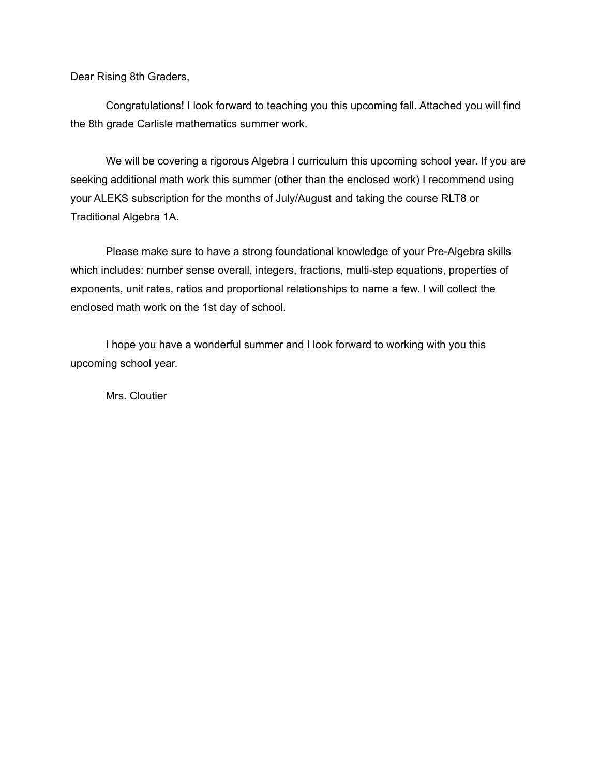Dear Rising 8th Graders,

Congratulations! I look forward to teaching you this upcoming fall. Attached you will find the 8th grade Carlisle mathematics summer work.

We will be covering a rigorous Algebra I curriculum this upcoming school year. If you are seeking additional math work this summer (other than the enclosed work) I recommend using your ALEKS subscription for the months of July/August and taking the course RLT8 or Traditional Algebra 1A.

Please make sure to have a strong foundational knowledge of your Pre-Algebra skills which includes: number sense overall, integers, fractions, multi-step equations, properties of exponents, unit rates, ratios and proportional relationships to name a few. I will collect the enclosed math work on the 1st day of school.

I hope you have a wonderful summer and I look forward to working with you this upcoming school year.

Mrs. Cloutier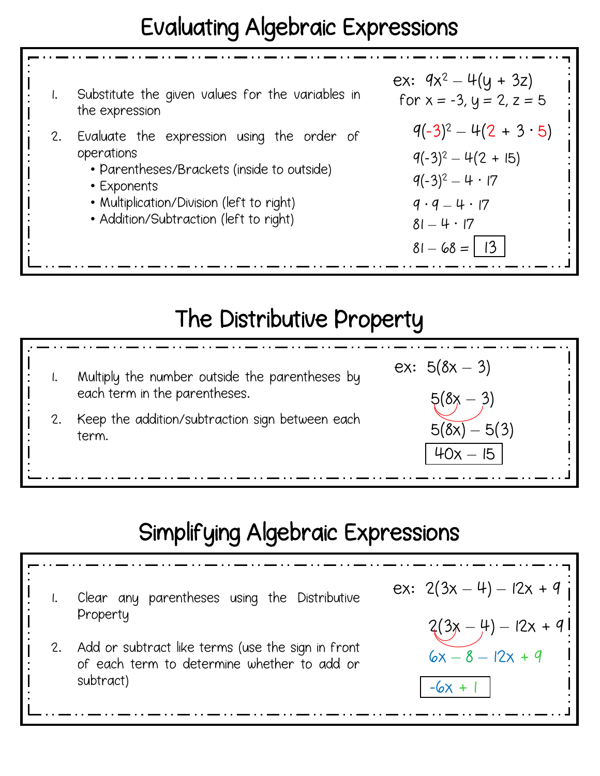## Evaluating Algebraic Expressions



## The Distributive Property

| Multiply the number outside the parentheses by           | ex: $5(8x - 3)$              |
|----------------------------------------------------------|------------------------------|
| each term in the parentheses.                            | $5(8x - 3)$                  |
| Keep the addition/subtraction sign between each<br>term. | $5(8x) - 5(3)$<br>$40x - 15$ |
|                                                          |                              |

# Simplifying Algebraic Expressions

| Clear any parentheses using the Distributive<br>Property                                                      | ex: $2(3x - 4) - 12x + 9$<br>$2(3x - 4) - 12x + 9$ |
|---------------------------------------------------------------------------------------------------------------|----------------------------------------------------|
| Add or subtract like terms (use the sign in front<br>of each term to determine whether to add or<br>subtract) | $6x - 8 - 12x + 9$<br>$-6x + 1$                    |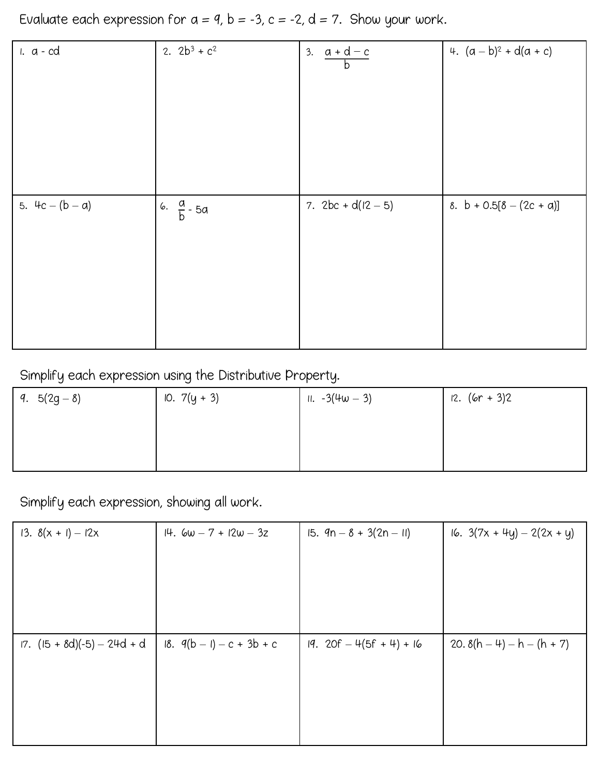Evaluate each expression for  $a = 4$ ,  $b = -3$ ,  $c = -2$ ,  $d = 7$ . Show your work.

| $1. a - cd$       | 2. $2b^3 + c^2$       | 3. $a + d - c$<br>b  | 4. $(a - b)^2 + d(a + c)$  |
|-------------------|-----------------------|----------------------|----------------------------|
| 5. $4c - (b - a)$ | 6. $\frac{a}{b}$ - 5a | 7. $2bc + d(12 - 5)$ | 8. $b + 0.5[8 - (2c + a)]$ |

#### Simplify each expression using the Distributive Property.

| 9. $5(2g-8)$ | IO. $7(y + 3)$ | $11. -3(4w - 3)$ | 12. (6r + 3)2 |
|--------------|----------------|------------------|---------------|
|              |                |                  |               |
|              |                |                  |               |
|              |                |                  |               |

Simplify each expression, showing all work.

| 13. $8(x + 1) - 12x$          | I4. $6w - 7 + 12w - 3z$ | 15. $9n - 8 + 3(2n - 11)$ | 16. $3(7x + 4y) - 2(2x + y)$ |
|-------------------------------|-------------------------|---------------------------|------------------------------|
|                               |                         |                           |                              |
|                               |                         |                           |                              |
|                               |                         |                           |                              |
|                               |                         |                           |                              |
| $17. (15 + 8d)(-5) - 24d + d$ | $18. 9(b-1)-c+3b+c$     | $19.20f - 4(5f + 4) + 16$ | 20. $8(h - 4) - h - (h + 7)$ |
|                               |                         |                           |                              |
|                               |                         |                           |                              |
|                               |                         |                           |                              |
|                               |                         |                           |                              |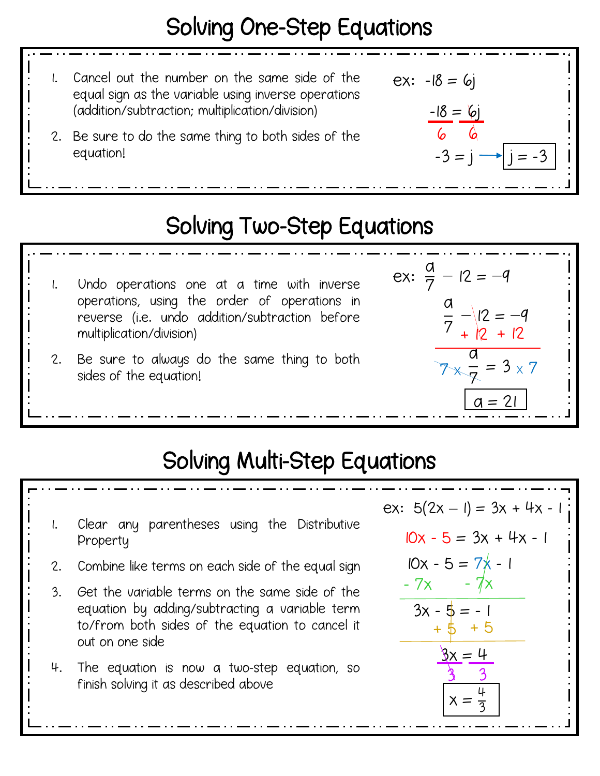## Solving One-Step Equations

 $ex: -18 = 6j$ 

-18 = 6j

6 6

 $-3 = i \rightarrow i = -3$ 

- 1. Cancel out the number on the same side of the equal sign as the variable using inverse operations (addition/subtraction; multiplication/division)
- 2. Be sure to do the same thing to both sides of the equation!

## Solving Two-Step Equations



# Solving Multi-Step Equations

|    | Clear any parentheses using the Distributive<br>Property                                                                                                               | ex: $5(2x - 1) = 3x + 4x - 1$<br>$10x - 5 = 3x + 4x - 1$ |
|----|------------------------------------------------------------------------------------------------------------------------------------------------------------------------|----------------------------------------------------------|
|    | 2. Combine like terms on each side of the equal sign                                                                                                                   | $10x - 5 = 7x - 1$                                       |
| 3. | Get the variable terms on the same side of the<br>equation by adding/subtracting a variable term<br>to/from both sides of the equation to cancel it<br>out on one side | $-7x - 7x$<br>$3x - 5 = -1$<br>$+5$ + 5                  |
|    | 4. The equation is now a two-step equation, so<br>finish solving it as described above                                                                                 | $3x = 4$                                                 |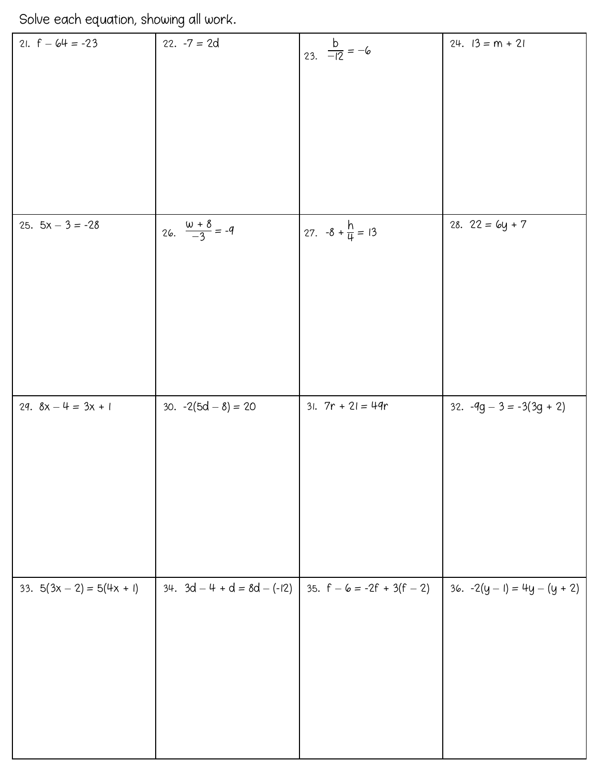Solve each equation, showing all work.

| 33. $5(3x - 2) = 5(4x + 1)$     | 29. $8x - 4 = 3x + 1$                                     | 21. $f - 64 = -23$<br>25. $5x - 3 = -28$ |
|---------------------------------|-----------------------------------------------------------|------------------------------------------|
| $34. \ 3d - 4 + d = 8d - (-12)$ | 26. $\frac{\omega + 8}{-3} = -4$<br>30. $-2(5d - 8) = 20$ | 22. $-7 = 2d$                            |
| 35. $f - 6 = -2f + 3(f - 2)$    | 27. $-8 + \frac{h}{4} = 13$<br>$31. 7r + 21 = 49r$        | 23. $\frac{b}{-12} = -6$                 |
| $36. -2(y-1) = 4y - (y + 2)$    | 32. $-4g - 3 = -3(3g + 2)$                                | $24. 13 = m + 21$<br>28. $22 = 6y + 7$   |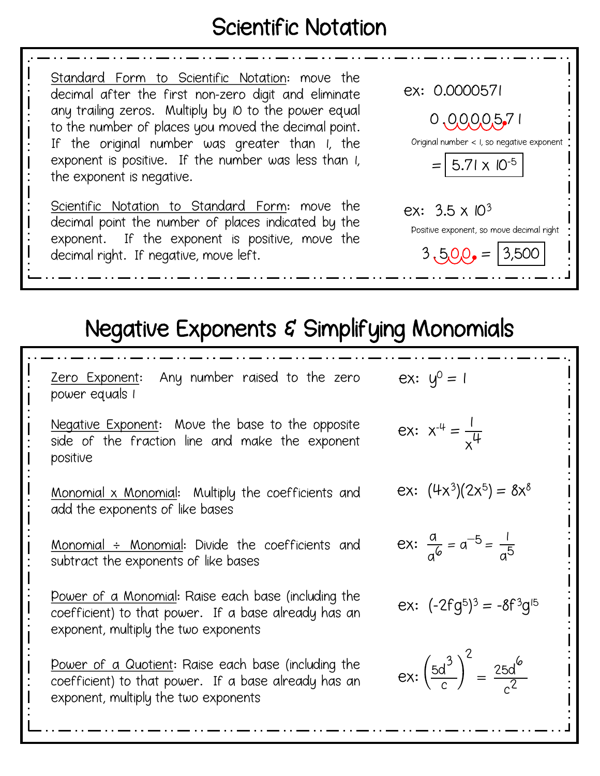### Scientific Notation

Standard Form to Scientific Notation: move the decimal after the first non-zero digit and eliminate any trailing zeros. Multiply by 10 to the power equal to the number of places you moved the decimal point. If the original number was greater than 1, the exponent is positive. If the number was less than 1, the exponent is negative.

Scientific Notation to Standard Form: move the decimal point the number of places indicated by the exponent. If the exponent is positive, move the decimal right. If negative, move left.



## Negative Exponents & Simplifying Monomials

Zero Exponent: Any number raised to the zero power equals 1 Negative Exponent: Move the base to the opposite side of the fraction line and make the exponent positive Monomial x Monomial: Multiply the coefficients and add the exponents of like bases Monomial ÷ Monomial: Divide the coefficients and subtract the exponents of like bases Power of a Monomial: Raise each base (including the coefficient) to that power. If a base already has an exponent, multiply the two exponents Power of a Quotient: Raise each base (including the coefficient) to that power. If a base already has an exponent, multiply the two exponents ex:  $x^{-4} = \frac{1}{x^{-4}}$  $x^4$ ex:  $(4x^3)(2x^5) = 8x^8$ ex:  $\frac{a}{a^6} = a^{-5} = \frac{1}{a^5}$ ex: (-2fg<sup>5</sup>)<sup>3</sup> = -8f<sup>3</sup>g<sup>15</sup> ex:  $\left(\frac{5d}{c}\right)$ 3 c 2  $=\frac{25d}{2}$ 6  $c^2$ ex:  $y^0 = 1$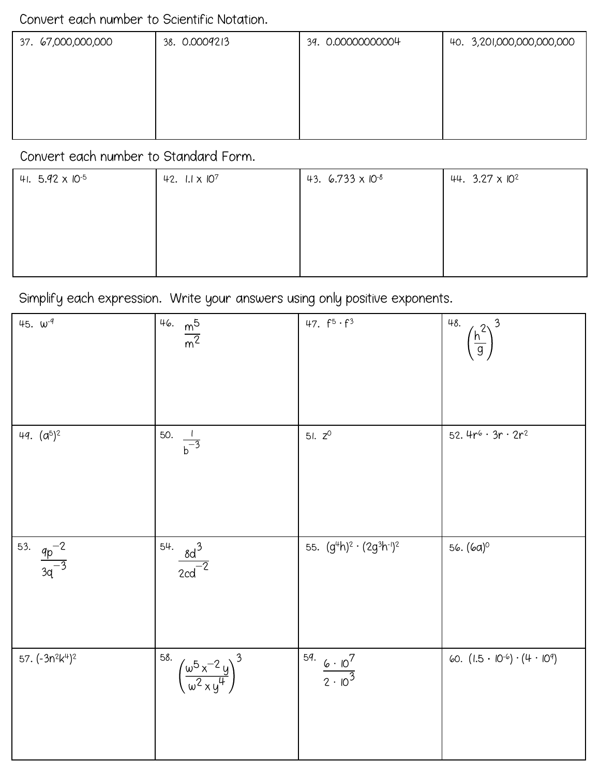#### Convert each number to Scientific Notation.

| 37. 67,000,000,000 | 38. 0.0009213 | 39. 0.000000000004 | 40. 3,201,000,000,000,000 |
|--------------------|---------------|--------------------|---------------------------|
|                    |               |                    |                           |
|                    |               |                    |                           |
|                    |               |                    |                           |
|                    |               |                    |                           |

#### Convert each number to Standard Form.

| 41. $5.92 \times 10^{-5}$ | 42. $1.1 \times 10^7$ | 43. $6.733 \times 10^{-8}$ | 44. $3.27 \times 10^2$ |
|---------------------------|-----------------------|----------------------------|------------------------|
|                           |                       |                            |                        |
|                           |                       |                            |                        |
|                           |                       |                            |                        |
|                           |                       |                            |                        |

Simplify each expression. Write your answers using only positive exponents.

| 45. $w^4$                      | $\frac{46.}{m^2}$                                                | 47. $f^5 \cdot f^3$                        | $\sqrt{\frac{h^2}{g}}^3$<br>48.                  |
|--------------------------------|------------------------------------------------------------------|--------------------------------------------|--------------------------------------------------|
| 49. $(a^5)^2$                  | 50.<br>$\frac{1}{b^{-3}}$                                        | 51. $Z^0$                                  | 52. $4r^{6} \cdot 3r \cdot 2r^{2}$               |
| 53. $\frac{q p^{-2}}{3q^{-3}}$ | $rac{34}{2} \cdot \frac{30^{3}}{200^{2}}$                        | 55. $(g^4h)^2 \cdot (2g^3h^{-1})^2$        | 56. (6a) <sup>0</sup>                            |
| 57. $(-3n^2k^4)^2$             | 58.<br>$\left(\frac{\omega^5 x^{-2} y}{\omega^2 x y^4}\right)^3$ | 59.<br>$\frac{6 \cdot 10^7}{2 \cdot 10^3}$ | 60. $(1.5 \cdot 10^{-6}) \cdot (4 \cdot 10^{9})$ |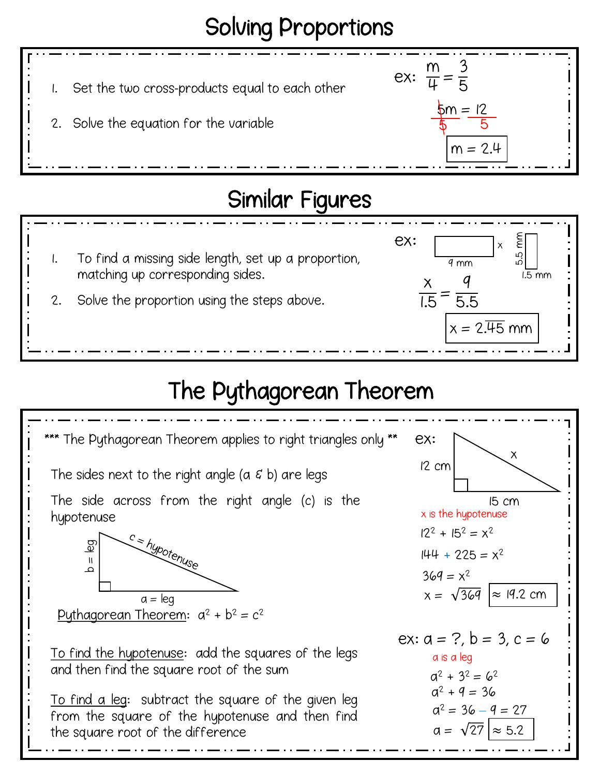

1. To find a missing side length, set up a proportion, matching up corresponding sides. 2. Solve the proportion using the steps above. ex: 9 mm x  $\frac{1.5}{1.5}$  mm  $\times$  $\frac{1}{1.5}$  = 9 5.5  $x = 2.\overline{45}$  mm

# The Pythagorean Theorem

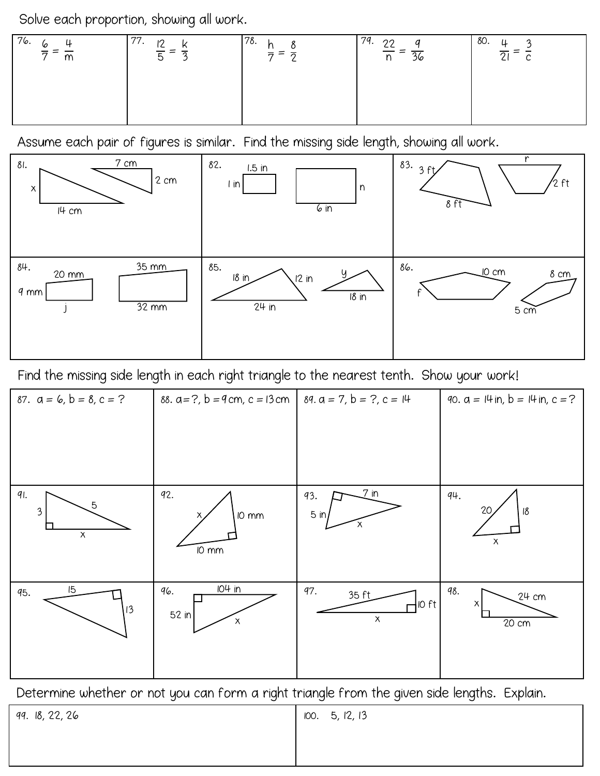Solve each proportion, showing all work.

| 76.<br>$6$ $^{\prime}$<br>m | 77.<br>$\sqrt{2}$ | 178. | 79.<br>$\frac{22}{ }$ =<br>$=\frac{1}{36}$<br>$\mathsf{n}$ | 80.<br>$\downarrow$ |
|-----------------------------|-------------------|------|------------------------------------------------------------|---------------------|
|                             |                   |      |                                                            |                     |

Assume each pair of figures is similar. Find the missing side length, showing all work.



Find the missing side length in each right triangle to the nearest tenth. Show your work!

| 87. $a = 6, b = 8, c = ?$                                         | 88. $a = ?$ , $b = 4$ cm, $c = 13$ cm | 89. $a = 7$ , $b = ?$ , $c = 14$                 | 90. $a = 14$ in, $b = 14$ in, $c = ?$            |
|-------------------------------------------------------------------|---------------------------------------|--------------------------------------------------|--------------------------------------------------|
|                                                                   |                                       |                                                  |                                                  |
| $q$ <sub>l.</sub><br>$\mathbf 5$<br>$\mathfrak{Z}$<br>$\mathsf X$ | 92.<br>IO mm<br>Χ<br>IO mm            | $\sqrt{7}$ in<br>93.<br>5 in<br>х                | 94.<br>20<br>$18\,$<br>$\boldsymbol{\mathsf{X}}$ |
| 15<br>95.<br> 13                                                  | 104 in<br>96.<br>52 in<br>$\mathsf X$ | 97.<br>35 ft<br>$\frac{1}{10}$ ft<br>$\mathsf X$ | 98.<br>24 cm<br>х<br>$20 \text{ cm}$             |

Determine whether or not you can form a right triangle from the given side lengths. Explain.

| 99.18, 22, 26 | $100.$ 5, 12, 13 |
|---------------|------------------|
|               |                  |
|               |                  |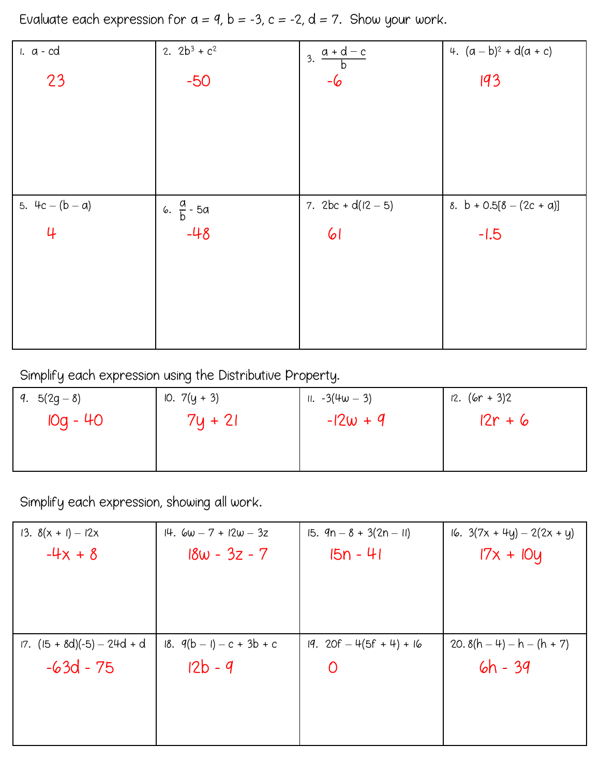Evaluate each expression for  $a = 4$ ,  $b = -3$ ,  $c = -2$ ,  $d = 7$ . Show your work.

| $1. a - cd$       | 2. $2b^3 + c^2$       | $3. \frac{a+d-c}{1}$<br><sub>b</sub> | 4. $(a - b)^2 + d(a + c)$  |
|-------------------|-----------------------|--------------------------------------|----------------------------|
| 23                | $-50$                 | $-6$                                 | 193                        |
|                   |                       |                                      |                            |
|                   |                       |                                      |                            |
|                   |                       |                                      |                            |
|                   |                       |                                      |                            |
| 5. $4c - (b - a)$ | 6. $\frac{a}{b}$ - 5a | 7. $2bc + d(12 - 5)$                 | 8. $b + 0.5[8 - (2c + a)]$ |
| 4                 | $-48$                 | $\omega$                             | $-1.5$                     |
|                   |                       |                                      |                            |
|                   |                       |                                      |                            |
|                   |                       |                                      |                            |
|                   |                       |                                      |                            |

Simplify each expression using the Distributive Property.

| 9. $5(2g-8)$    | IO. $7(y + 3)$ | $11. -3(4w - 3)$ | 12. $(6r + 3)2$ |
|-----------------|----------------|------------------|-----------------|
| <b>IOg</b> - 40 | $74 + 21$      | $-12w + 9$       | $12r + 6$       |

Simplify each expression, showing all work.

| 13. $8(x + 1) - 12x$          | $14.6w - 7 + 12w - 3z$ | 15. $9n - 8 + 3(2n - 11)$ | 16. $3(7x + 4y) - 2(2x + y)$ |
|-------------------------------|------------------------|---------------------------|------------------------------|
| $-4x + 8$                     | $18w - 3z - 7$         | $15n - 41$                | $17x + 10y$                  |
|                               |                        |                           |                              |
|                               |                        |                           |                              |
|                               |                        |                           |                              |
|                               |                        |                           |                              |
| $17. (15 + 8d)(-5) - 24d + d$ | 18. $q(b-1)-c+3b+c$    | $19.20f - 4(5f + 4) + 16$ | 20. $8(h - 4) - h - (h + 7)$ |
| $-63d - 75$                   | $12b - 9$              | O                         | $6h - 39$                    |
|                               |                        |                           |                              |
|                               |                        |                           |                              |
|                               |                        |                           |                              |
|                               |                        |                           |                              |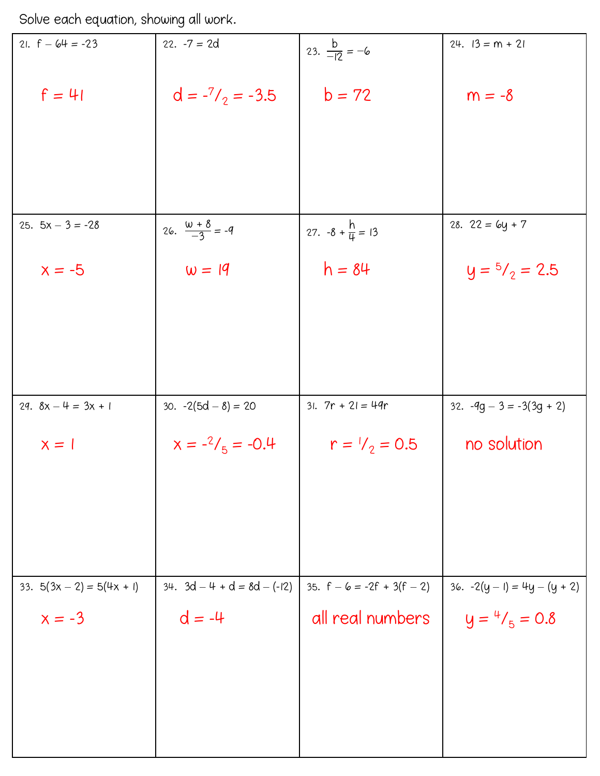Solve each equation, showing all work.

| 21. $f - 64 = -23$          | $22. -7 = 2d$                   | 23. $\frac{b}{-12} = -6$     | $24. 13 = m + 21$            |
|-----------------------------|---------------------------------|------------------------------|------------------------------|
| $f = 41$                    | $d = -\frac{7}{2} = -3.5$       | $b = 72$                     | $m = -8$                     |
|                             |                                 |                              |                              |
|                             |                                 |                              |                              |
|                             |                                 |                              |                              |
| 25. $5x - 3 = -28$          | 26. $\frac{w+8}{-3} = -9$       | 27. $-8 + \frac{h}{4} = 13$  | 28. $22 = 6y + 7$            |
| $x = -5$                    | $w = 19$                        | $h = 84$                     | $y = \frac{5}{2} = 2.5$      |
|                             |                                 |                              |                              |
|                             |                                 |                              |                              |
|                             |                                 |                              |                              |
| 29. $8x - 4 = 3x + 1$       | 30. $-2(5d - 8) = 20$           | $31.7r + 21 = 49r$           | 32. $-4g - 3 = -3(3g + 2)$   |
| $x = 1$                     | $x = -2/5 = -0.4$               | $r = \frac{1}{2} = 0.5$      | no solution                  |
|                             |                                 |                              |                              |
|                             |                                 |                              |                              |
|                             |                                 |                              |                              |
| 33. $5(3x - 2) = 5(4x + 1)$ | $34. \ 3d - 4 + d = 8d - (-12)$ | 35. $f - 6 = -2f + 3(f - 2)$ | $36. -2(y-1) = 4y - (y + 2)$ |
| $x = -3$                    | $d = -4$                        | all real numbers             | $y = \frac{4}{5} = 0.8$      |
|                             |                                 |                              |                              |
|                             |                                 |                              |                              |
|                             |                                 |                              |                              |
|                             |                                 |                              |                              |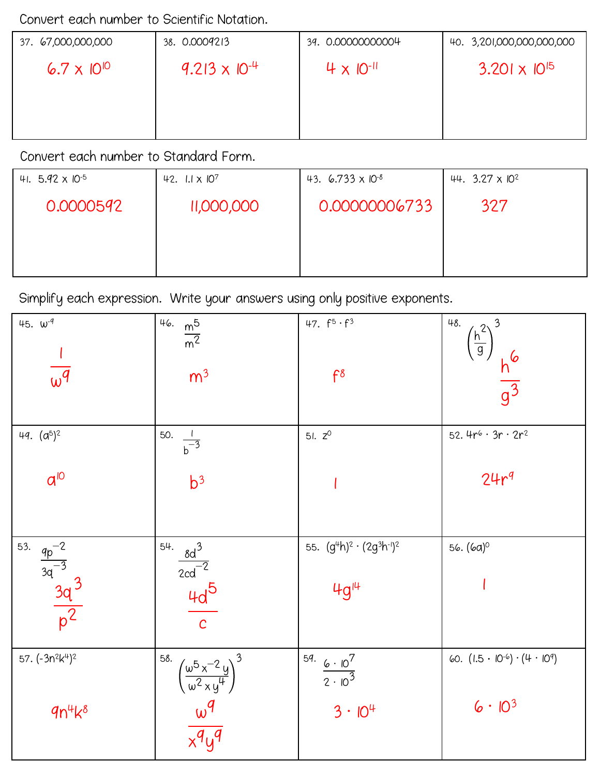Convert each number to Scientific Notation.

| 37. 67,000,000,000            | 38. 0.0009213          | 39. 0.000000000004  | 40. 3,201,000,000,000,000 |
|-------------------------------|------------------------|---------------------|---------------------------|
| 6.7 $\times$ 10 <sup>10</sup> | $9.213 \times 10^{-4}$ | $4 \times 10^{-11}$ | $3.201 \times 10^{15}$    |
|                               |                        |                     |                           |

Convert each number to Standard Form.

| 41. $5.92 \times 10^{-5}$ | 42. $1.1 \times 10^7$ | 43. 6.733 $\times$ 10 <sup>-8</sup> | 44. $3.27 \times 10^{2}$ |
|---------------------------|-----------------------|-------------------------------------|--------------------------|
| 0.0000592                 | 11,000,000            | 0.00000006733                       | 327                      |
|                           |                       |                                     |                          |

Simplify each expression. Write your answers using only positive exponents.

| 45. $w^4$<br>$\overline{w^q}$                   | 46.<br>$\frac{m^5}{m^2}$<br>m <sup>3</sup>              | 47. $f^5 \cdot f^3$<br>$f^8$             | 48.<br>$\left(\frac{h^2}{g}\right)^3$<br>$\frac{h^6}{g^3}$ |
|-------------------------------------------------|---------------------------------------------------------|------------------------------------------|------------------------------------------------------------|
| 49. $(a^5)^2$                                   | 50.<br>$\frac{1}{b^{-3}}$                               | 51. $Z^0$                                | 52. $4r^{6} \cdot 3r \cdot 2r^{2}$                         |
| $d^{10}$                                        | b <sup>3</sup>                                          |                                          | 24r <sup>q</sup>                                           |
| 53.                                             | 54.                                                     | 55. $(g^4h)^2 \cdot (2g^3h^{-1})^2$      | 56. (6a) <sup>0</sup>                                      |
| $rac{4p^{-2}}{3q^{-3}}$<br>$rac{3q^{3}}{p^{2}}$ | 4. $rac{8d^3}{2cd^{-2}}$<br>4d <sup>5</sup>             | $4g^{14}$                                |                                                            |
| 57. $(-3n^2k^4)^2$                              | 58.                                                     | 59.<br>$rac{6 \cdot 10^7}{2 \cdot 10^3}$ | 60. $(1.5 \cdot 10^{-6}) \cdot (4 \cdot 10^{9})$           |
| $qn^{4}k^{8}$                                   | $\frac{\left(\frac{w^5x^{-2}y}{w^2xy^4}\right)^3}{w^4}$ | $3 \cdot 10^{4}$                         | $6 \cdot 10^{3}$                                           |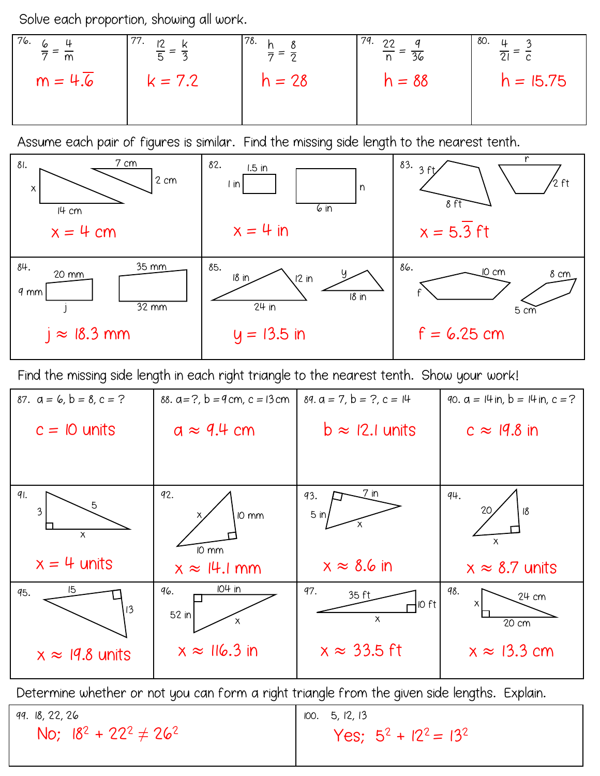Solve each proportion, showing all work.

| 76.<br>6<br>m | 77.<br>$\frac{12}{1}$ | 78.    | 179.<br>22<br>$= 36$ | 80.<br>$\downarrow$<br>$\sim$ |
|---------------|-----------------------|--------|----------------------|-------------------------------|
| $m = 4.6$     | k = 7.2               | h = 28 | h = 88               | $h = 15.75$                   |
|               |                       |        |                      |                               |

Assume each pair of figures is similar. Find the missing side length to the nearest tenth.



Find the missing side length in each right triangle to the nearest tenth. Show your work!

| 87. $a = 6, b = 8, c = ?$                                | 88. $a = ?$ , $b = 4$ cm, $c = 13$ cm | 89. $a = 7$ , $b = ?$ , $c = 14$                              | 90. $a = 14$ in, $b = 14$ in, $c = ?$ |
|----------------------------------------------------------|---------------------------------------|---------------------------------------------------------------|---------------------------------------|
| $c = 10$ units                                           | $a \approx 9.4$ cm                    | $b \approx 12.1$ units                                        | $c \approx 19.8$ in                   |
|                                                          |                                       |                                                               |                                       |
| $q$ <sub>l.</sub><br>$\overline{5}$<br>3<br>$\mathsf{x}$ | 92.<br>IO mm<br>IO mm                 | $7$ in<br>93.<br>5 in                                         | 94.<br>20<br>18<br>$\times$           |
| $x = 4$ units                                            | $x \approx 14.1$ mm                   | $x \approx 8.6$ in                                            | $x \approx 8.7$ units                 |
| 15<br>95.<br>13                                          | 104 in<br>96.<br>52 in<br>X           | 97.<br>35 ft<br>$\overline{\mathsf{H}}$ to ft<br>$\mathsf{x}$ | 98.<br>24 cm<br>Χ<br>20 cm            |
| $x \approx 19.8$ units                                   | $x \approx 116.3$ in                  | $x \approx 33.5$ ft                                           | $x \approx 13.3$ cm                   |

Determine whether or not you can form a right triangle from the given side lengths. Explain.

**99.** 18, 22, 26 **100.** 5, 12, 13 No;  $18^2 + 22^2 \neq 26^2$  Yes;  $5^2 + 12^2 = 13^2$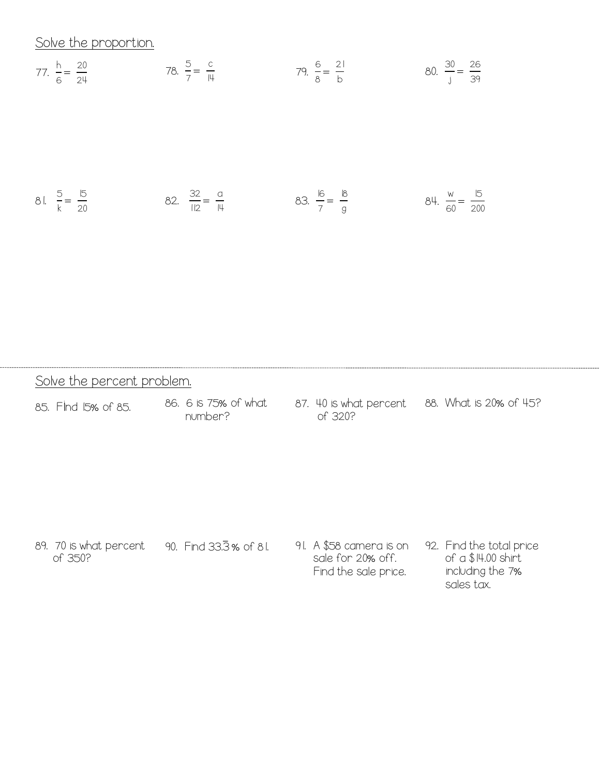Solve the proportion.

77. 
$$
\frac{h}{6} = \frac{20}{24}
$$
  
78.  $\frac{5}{7} = \frac{c}{14}$   
79.  $\frac{6}{8} = \frac{21}{b}$   
80.  $\frac{30}{j} = \frac{26}{39}$   
81.  $\frac{5}{k} = \frac{15}{20}$   
82.  $\frac{32}{112} = \frac{a}{14}$   
83.  $\frac{16}{7} = \frac{18}{9}$   
84.  $\frac{w}{60} = \frac{15}{200}$ 

| Solve the percent problem.        |                                 |                                                                      |                                                                                      |  |
|-----------------------------------|---------------------------------|----------------------------------------------------------------------|--------------------------------------------------------------------------------------|--|
| 85. Find 15% of 85.               | 86. 6 is 75% of what<br>number? | 87. 40 is what percent<br>of 320?                                    | 88. What is 20% of 45?                                                               |  |
| 89. 70 is what percent<br>of 350? | 90. Find 33.3% of 81.           | 91. A \$58 camera is on<br>sale for 20% off.<br>Find the sale price. | 92. Find the total price<br>of $a$ $$$ I4.00 shirt<br>including the 7%<br>sales tax. |  |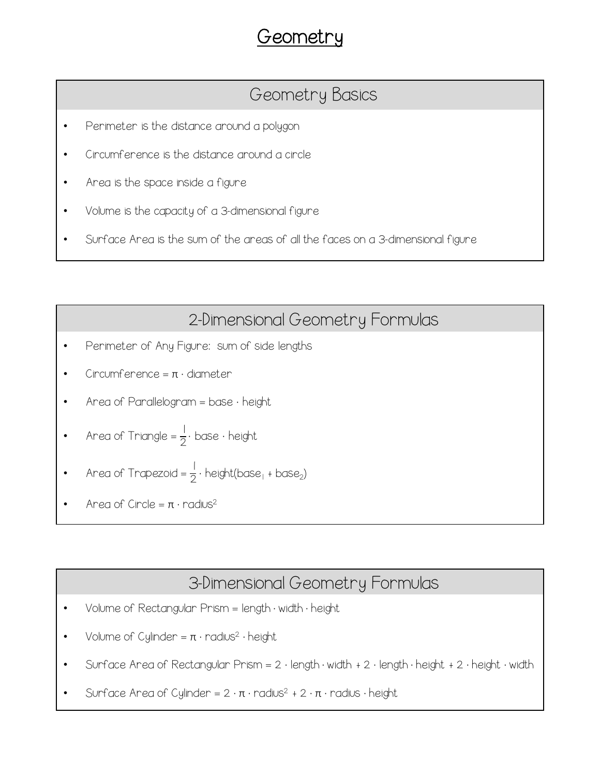### Geometry

### Geometry Basics

- Perimeter is the distance around a polygon
- Circumference is the distance around a circle
- Area is the space inside a figure
- Volume is the capacity of a 3-dimensional figure
- Surface Area is the sum of the areas of all the faces on a 3-dimensional figure

#### 2-Dimensional Geometry Formulas

- Perimeter of Any Figure: sum of side lengths
- $Circumference = \pi \cdot diameter$
- Area of Parallelogram = base  $\cdot$  height
- Area of Triangle =  $\frac{1}{2}$ · base · height
- Area of Trapezoid =  $\frac{1}{2} \cdot$  height(base<sub>1</sub> + base<sub>2</sub>)
- Area of Circle =  $\pi \cdot$  radius<sup>2</sup>

#### 3-Dimensional Geometry Formulas

- Volume of Rectangular Prism = length · width · height
- Volume of Cylinder =  $\pi \cdot$  radius<sup>2</sup>  $\cdot$  height
- Surface Area of Rectangular Prism =  $2 \cdot$  length  $\cdot$  width  $+ 2 \cdot$  length  $\cdot$  height  $\cdot$  width
- Surface Area of Cylinder =  $2 \cdot π \cdot$  radius<sup>2</sup> +  $2 \cdot π \cdot$  radius  $\cdot$  height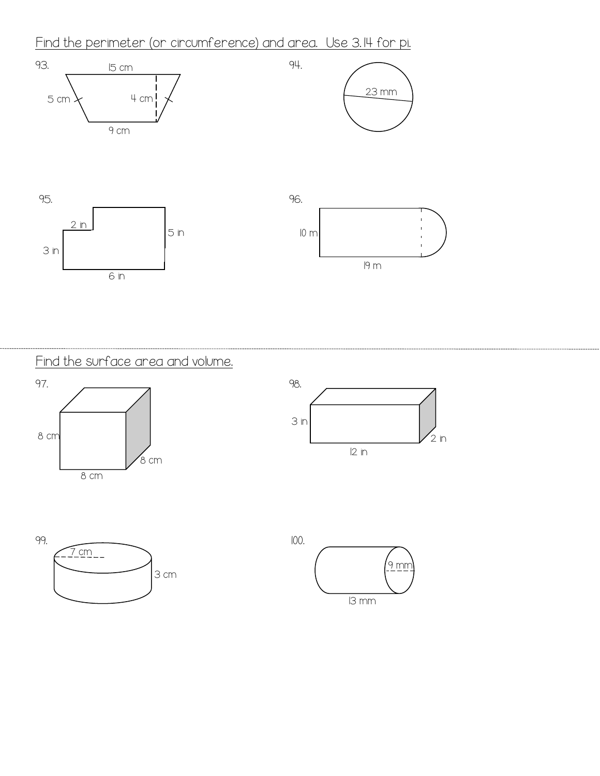Find the perimeter (or circumference) and area. Use 3.14 for pi.



Find the surface area and volume.